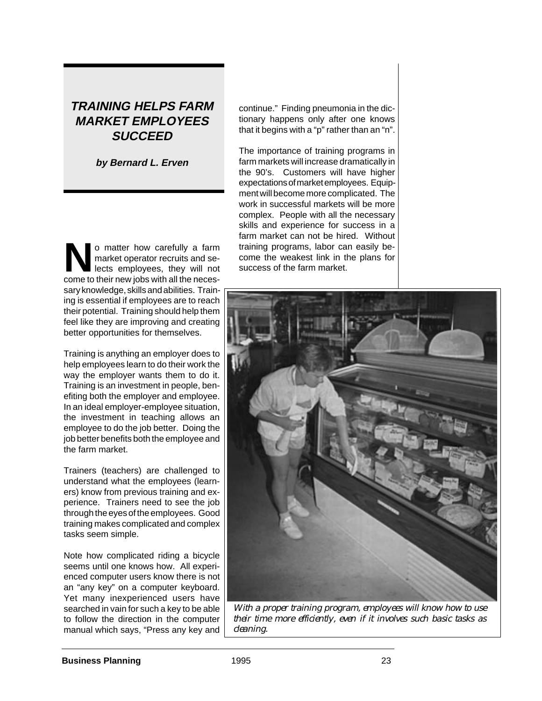# **TRAINING HELPS FARM MARKET EMPLOYEES SUCCEED**

**by Bernard L. Erven**

o matter how carefully a farm<br>market operator recruits and se-<br>lects employees, they will not market operator recruits and selects employees, they will not come to their new jobs with all the necessary knowledge, skills and abilities. Training is essential if employees are to reach their potential. Training should help them feel like they are improving and creating better opportunities for themselves.

Training is anything an employer does to help employees learn to do their work the way the employer wants them to do it. Training is an investment in people, benefiting both the employer and employee. In an ideal employer-employee situation, the investment in teaching allows an employee to do the job better. Doing the job better benefits both the employee and the farm market.

Trainers (teachers) are challenged to understand what the employees (learners) know from previous training and experience. Trainers need to see the job through the eyes of the employees. Good training makes complicated and complex tasks seem simple.

Note how complicated riding a bicycle seems until one knows how. All experienced computer users know there is not an "any key" on a computer keyboard. Yet many inexperienced users have searched in vain for such a key to be able to follow the direction in the computer manual which says, "Press any key and

continue." Finding pneumonia in the dictionary happens only after one knows that it begins with a "p" rather than an "n".

The importance of training programs in farm markets will increase dramatically in the 90's. Customers will have higher expectations of market employees. Equipment will become more complicated. The work in successful markets will be more complex. People with all the necessary skills and experience for success in a farm market can not be hired. Without training programs, labor can easily become the weakest link in the plans for success of the farm market.



*With a proper training program, employees will know how to use their time more efficiently, even if it involves such basic tasks as cleaning.*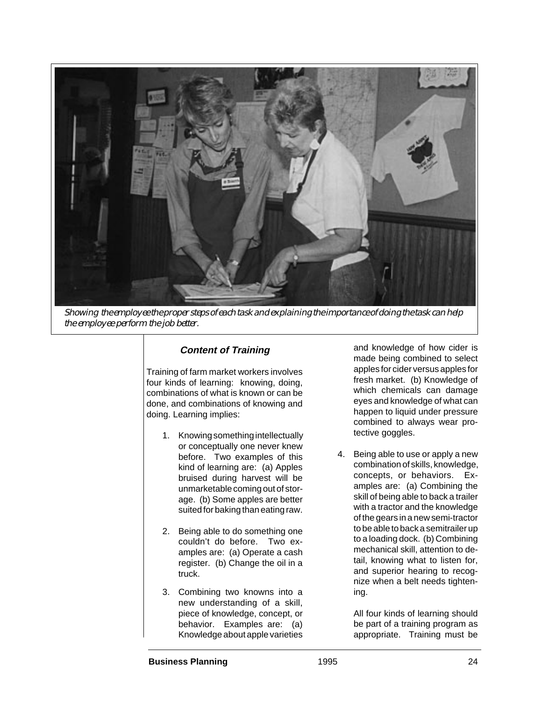

*Showing the employee the proper steps of each task and explaining the importance of doing the task can help the employee perform the job better.*

## **Content of Training**

Training of farm market workers involves four kinds of learning: knowing, doing, combinations of what is known or can be done, and combinations of knowing and doing. Learning implies:

- 1. Knowing something intellectually or conceptually one never knew before. Two examples of this kind of learning are: (a) Apples bruised during harvest will be unmarketable coming out of storage. (b) Some apples are better suited for baking than eating raw.
- 2. Being able to do something one couldn't do before. Two examples are: (a) Operate a cash register. (b) Change the oil in a truck.
- 3. Combining two knowns into a new understanding of a skill, piece of knowledge, concept, or behavior. Examples are: (a) Knowledge about apple varieties

and knowledge of how cider is made being combined to select apples for cider versus apples for fresh market. (b) Knowledge of which chemicals can damage eyes and knowledge of what can happen to liquid under pressure combined to always wear protective goggles.

4. Being able to use or apply a new combination of skills, knowledge, concepts, or behaviors. Examples are: (a) Combining the skill of being able to back a trailer with a tractor and the knowledge of the gears in a new semi-tractor to be able to back a semitrailer up to a loading dock. (b) Combining mechanical skill, attention to detail, knowing what to listen for, and superior hearing to recognize when a belt needs tightening.

> All four kinds of learning should be part of a training program as appropriate. Training must be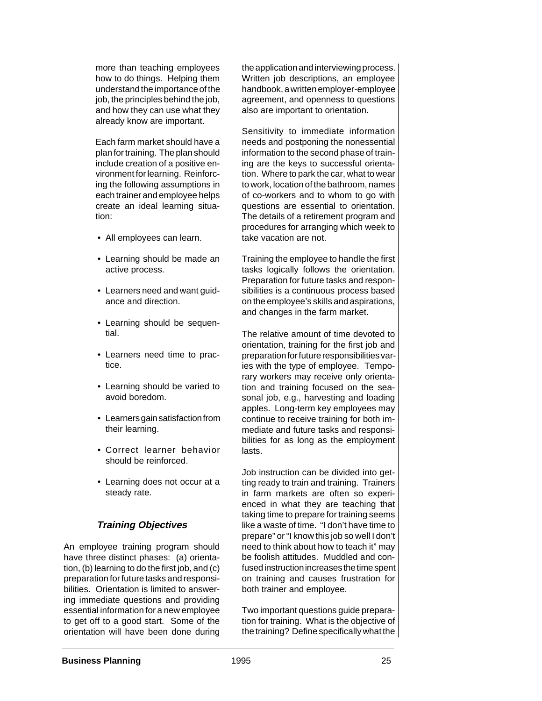more than teaching employees how to do things. Helping them understand the importance of the job, the principles behind the job, and how they can use what they already know are important.

Each farm market should have a plan for training. The plan should include creation of a positive environment for learning. Reinforcing the following assumptions in each trainer and employee helps create an ideal learning situation:

- All employees can learn.
- Learning should be made an active process.
- Learners need and want guidance and direction.
- Learning should be sequential.
- Learners need time to practice.
- Learning should be varied to avoid boredom.
- Learners gain satisfaction from their learning.
- Correct learner behavior should be reinforced.
- Learning does not occur at a steady rate.

### **Training Objectives**

An employee training program should have three distinct phases: (a) orientation, (b) learning to do the first job, and (c) preparation for future tasks and responsibilities. Orientation is limited to answering immediate questions and providing essential information for a new employee to get off to a good start. Some of the orientation will have been done during the application and interviewing process. Written job descriptions, an employee handbook, a written employer-employee agreement, and openness to questions also are important to orientation.

Sensitivity to immediate information needs and postponing the nonessential information to the second phase of training are the keys to successful orientation. Where to park the car, what to wear to work, location of the bathroom, names of co-workers and to whom to go with questions are essential to orientation. The details of a retirement program and procedures for arranging which week to take vacation are not.

Training the employee to handle the first tasks logically follows the orientation. Preparation for future tasks and responsibilities is a continuous process based on the employee's skills and aspirations, and changes in the farm market.

The relative amount of time devoted to orientation, training for the first job and preparation for future responsibilities varies with the type of employee. Temporary workers may receive only orientation and training focused on the seasonal job, e.g., harvesting and loading apples. Long-term key employees may continue to receive training for both immediate and future tasks and responsibilities for as long as the employment lasts.

Job instruction can be divided into getting ready to train and training. Trainers in farm markets are often so experienced in what they are teaching that taking time to prepare for training seems like a waste of time. "I don't have time to prepare" or "I know this job so well I don't need to think about how to teach it" may be foolish attitudes. Muddled and confused instruction increases the time spent on training and causes frustration for both trainer and employee.

Two important questions guide preparation for training. What is the objective of the training? Define specifically what the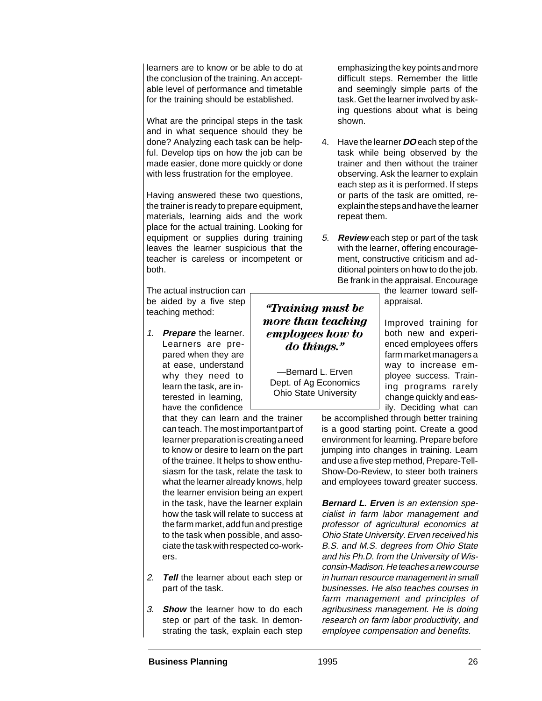learners are to know or be able to do at the conclusion of the training. An acceptable level of performance and timetable for the training should be established.

What are the principal steps in the task and in what sequence should they be done? Analyzing each task can be helpful. Develop tips on how the job can be made easier, done more quickly or done with less frustration for the employee.

Having answered these two questions, the trainer is ready to prepare equipment, materials, learning aids and the work place for the actual training. Looking for equipment or supplies during training leaves the learner suspicious that the teacher is careless or incompetent or both.

The actual instruction can be aided by a five step teaching method:

1. **Prepare** the learner. Learners are prepared when they are at ease, understand why they need to learn the task, are interested in learning, have the confidence

that they can learn and the trainer can teach. The most important part of learner preparation is creating a need to know or desire to learn on the part of the trainee. It helps to show enthusiasm for the task, relate the task to what the learner already knows, help the learner envision being an expert in the task, have the learner explain how the task will relate to success at the farm market, add fun and prestige to the task when possible, and associate the task with respected co-workers.

- 2. **Tell** the learner about each step or part of the task.
- 3. **Show** the learner how to do each step or part of the task. In demonstrating the task, explain each step

emphasizing the key points and more difficult steps. Remember the little and seemingly simple parts of the task. Get the learner involved by asking questions about what is being shown.

- 4. Have the learner **DO** each step of the task while being observed by the trainer and then without the trainer observing. Ask the learner to explain each step as it is performed. If steps or parts of the task are omitted, reexplain the steps and have the learner repeat them.
- 5. **Review** each step or part of the task with the learner, offering encouragement, constructive criticism and additional pointers on how to do the job. Be frank in the appraisal. Encourage

the learner toward selfappraisal.

Improved training for both new and experienced employees offers farm market managers a way to increase employee success. Training programs rarely change quickly and easily. Deciding what can

be accomplished through better training is a good starting point. Create a good environment for learning. Prepare before jumping into changes in training. Learn and use a five step method, Prepare-Tell-Show-Do-Review, to steer both trainers and employees toward greater success.

**Bernard L. Erven** is an extension specialist in farm labor management and professor of agricultural economics at Ohio State University. Erven received his B.S. and M.S. degrees from Ohio State and his Ph.D. from the University of Wisconsin-Madison. He teaches a new course in human resource management in small businesses. He also teaches courses in farm management and principles of agribusiness management. He is doing research on farm labor productivity, and employee compensation and benefits.

*"Training must be more than teaching employees how to do things."*

—Bernard L. Erven Dept. of Ag Economics Ohio State University